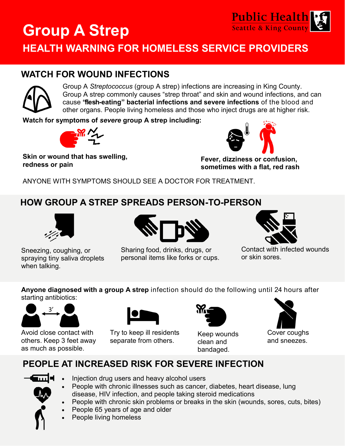#### **Public Healthern Seattle & King County Group A Strep HEALTH WARNING FOR HOMELESS SERVICE PROVIDERS**

#### **WATCH FOR WOUND INFECTIONS**



Group A *Streptococcus* (group A strep) infections are increasing in King County. Group A strep commonly causes "strep throat" and skin and wound infections, and can cause **"flesh-eating" bacterial infections and severe infections** of the blood and other organs. People living homeless and those who inject drugs are at higher risk.

**Watch for symptoms of** *severe* **group A strep including:**



**Skin or wound that has swelling, redness or pain** 



**Fever, dizziness or confusion, sometimes with a flat, red rash**

ANYONE WITH SYMPTOMS SHOULD SEE A DOCTOR FOR TREATMENT.

## **HOW GROUP A STREP SPREADS PERSON-TO-PERSON**



Sneezing, coughing, or spraying tiny saliva droplets when talking.



Sharing food, drinks, drugs, or personal items like forks or cups.



Contact with infected wounds or skin sores.

**Anyone diagnosed with a group A strep** infection should do the following until 24 hours after starting antibiotics:



Avoid close contact with others. Keep 3 feet away as much as possible.



Try to keep ill residents separate from others.

| Y. |  |
|----|--|
|    |  |
|    |  |
|    |  |

Keep wounds clean and bandaged.



Cover coughs and sneezes.

## **PEOPLE AT INCREASED RISK FOR SEVERE INFECTION**



- Injection drug users and heavy alcohol users
- People with chronic illnesses such as cancer, diabetes, heart disease, lung disease, HIV infection, and people taking steroid medications
- People with chronic skin problems or breaks in the skin (wounds, sores, cuts, bites)
- People 65 years of age and older
- People living homeless